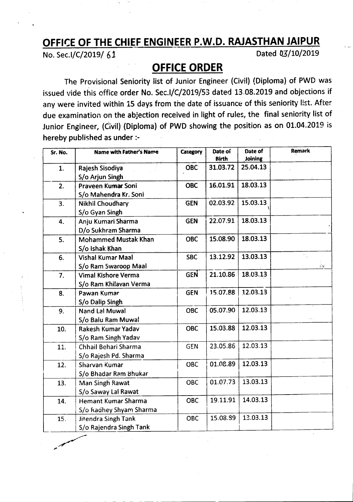## **OFFIt:E OF THE CHIEF\_ENGINEER P.W.D. RAJASTHAN JAIPUR**

 $\sqrt{\frac{1}{10}}$  Dated 03/10/2019

## **OFFICE ORDER**

The Provisional Seniority iist of Junior Engineer(Civil) (Diploma) of PWD was issued vide this office order No. Sec.I/C/2019/53 dated 13.08.2019 and objections if any were invited within 15 days from the date of issuance of this seniority list. After due examination on the abjection received in light of rules, the final seniority list of Junior Engineer, (Civil) (Diploma) of PWD showing the position as on 01.04.2019 is hereby published as under:-

| Sr. No. | Name with Father's Name     | Category   | Date of<br><b>Birth</b> | Date of<br>Joining | Remark   |
|---------|-----------------------------|------------|-------------------------|--------------------|----------|
| 1.      | Rajesh Sisodiya             | OBC        | 31.03.72                | 25.04.13           |          |
|         | S/o Arjun Singh             |            |                         |                    |          |
| 2.      | Praveen Kumar Soni          | <b>OBC</b> | 16.01.91                | 18.03.13           |          |
|         | S/o Mahendra Kr. Soni       |            |                         |                    |          |
| 3.      | Nikhil Choudhary            | <b>GEN</b> | 02.03.92                | 15.03.13           |          |
|         | S/o Gyan Singh              |            |                         |                    |          |
| 4.      | Anju Kumari Sharma          | <b>GEN</b> | 22.07.91                | 18.03.13           |          |
|         | D/o Sukhram Sharma          |            |                         |                    |          |
| 5.      | <b>Mohammed Mustak Khan</b> | <b>OBC</b> | 15.08.90                | 18.03.13           |          |
|         | S/o Ishak Khan              |            |                         |                    |          |
| 6.      | <b>Vishal Kumar Maal</b>    | <b>SBC</b> | 13.12.92                | 13.03.13           |          |
|         | S/o Ram Swaroop Maal        |            |                         |                    | $\alpha$ |
| 7.      | <b>Vimal Kishore Verma</b>  | <b>GEN</b> | 21.10.86                | 18.03.13           |          |
|         | S/o Ram Khilavan Verma      |            |                         |                    |          |
| 8.      | Pawan Kumar                 | <b>GEN</b> | 15.07.88                | 12.03.13           |          |
|         | S/o Dalip Singh             |            |                         |                    |          |
| 9.      | Nand Lal Muwal              | <b>OBC</b> | 05.07.90                | 12.03.13           |          |
|         | S/o Balu Ram Muwal          |            |                         |                    |          |
| 10.     | Rakesh Kumar Yadav          | <b>OBC</b> | 15.03.88                | 12.03.13           |          |
|         | S/o Ram Singh Yadav         |            |                         |                    |          |
| 11.     | Chhail Behari Sharma        | <b>GEN</b> | 23.05.86                | 12.03.13           |          |
|         | S/o Rajesh Pd. Sharma       |            |                         |                    |          |
| 12.     | Sharvan Kumar               | OBC        | 01.08.89                | 12.03.13           |          |
|         | S/o Bhadar Ram Bhukar       |            |                         |                    |          |
| 13.     | Man Singh Rawat             | <b>OBC</b> | 01.07.73                | 13.03.13           |          |
|         | S/o Saway Lal Rawat         |            |                         |                    |          |
| 14.     | <b>Hemant Kumar Sharma</b>  | <b>OBC</b> | 19.11.91                | 14.03.13           |          |
|         | S/o Radhey Shyam Sharma     |            |                         |                    |          |
| 15.     | Jitendra Singh Tank         | <b>OBC</b> | 15.08.89                | 13.03.13           |          |
|         | S/o Rajendra Singh Tank     |            |                         |                    |          |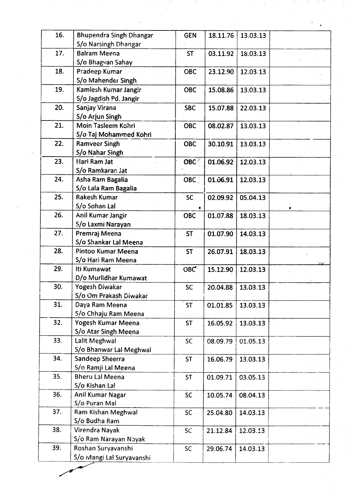| 16. | <b>Bhupendra Singh Dhangar</b> | <b>GEN</b> | 18.11.76 | 13.03.13 |  |
|-----|--------------------------------|------------|----------|----------|--|
|     | S/o Narsingh Dhangar           |            |          |          |  |
| 17. | <b>Balram Meena</b>            | <b>ST</b>  | 03.11.92 | 18.03.13 |  |
|     | S/o Bhagvan Sahay              |            |          |          |  |
| 18. | Pradeep Kumar                  | <b>OBC</b> | 23.12.90 | 12.03.13 |  |
|     | S/o Mahender Singh             |            |          |          |  |
| 19. | Kamlesh Kumar Jangir           | <b>OBC</b> | 15.08.86 | 13.03.13 |  |
|     | S/o Jagdish Pd. Jangir         |            |          |          |  |
| 20. | Sanjay Virana                  | <b>SBC</b> | 15.07.88 | 22.03.13 |  |
|     | S/o Arjun Singh                |            |          |          |  |
| 21. | Moin Tasleem Kohri             | <b>OBC</b> | 08.02.87 | 13.03.13 |  |
|     | S/o Taj Mohammed Kohri         |            |          |          |  |
| 22. | <b>Ramveer Singh</b>           | <b>OBC</b> | 30.10.91 | 13.03.13 |  |
|     | S/o Nahar Singh                |            |          |          |  |
| 23. | Hari Ram Jat                   | OBC        | 01.06.92 | 12.03.13 |  |
|     | S/o Ramkaran Jat               |            |          |          |  |
| 24. | Asha Ram Bagalia               | OBC        | 01.06.91 | 12.03.13 |  |
|     | S/o Lala Ram Bagalia           |            |          |          |  |
| 25. | Rakesh Kumar                   | <b>SC</b>  | 02.09.92 | 05.04.13 |  |
|     | S/o Sohan Lal                  |            |          |          |  |
| 26. | Anil Kumar Jangir              | <b>OBC</b> | 01.07.88 | 18.03.13 |  |
|     | S/o Laxmi Narayan              |            |          |          |  |
| 27. | Premraj Meena                  | <b>ST</b>  | 01.07.90 | 14.03.13 |  |
|     | S/o Shankar Lal Meena          |            |          |          |  |
| 28. | Pintoo Kumar Meena             | <b>ST</b>  | 26.07.91 | 18.03.13 |  |
|     | S/o Hari Ram Meena             |            |          |          |  |
| 29. | Iti Kumawat                    | OBC        | 15.12.90 | 12.03.13 |  |
|     | D/o Murlidhar Kumawat          |            |          |          |  |
| 30. | Yogesh Diwakar                 | <b>SC</b>  | 20.04.88 | 13.03.13 |  |
|     | S/o Om Prakash Diwakar         |            |          |          |  |
| 31. | Daya Ram Meena                 | <b>ST</b>  | 01.01.85 | 13.03.13 |  |
|     | S/o Chhaju Ram Meena           |            |          |          |  |
| 32. | Yogesh Kumar Meena             | <b>ST</b>  | 16.05.92 | 13.03.13 |  |
|     | S/o Atar Singh Meena           |            |          |          |  |
| 33. | Lalit Meghwal                  | <b>SC</b>  | 08.09.79 | 01.05.13 |  |
|     | S/o Bhanwar Lal Meghwal        |            |          |          |  |
| 34. | Sandeep Sheerra                | <b>ST</b>  | 16.06.79 | 13.03.13 |  |
|     | S/o Ramji Lal Meena            |            |          |          |  |
| 35. | <b>Bheru Lal Meena</b>         | <b>ST</b>  | 01.09.71 | 03.05.13 |  |
|     | S/o Kishan Lal                 |            |          |          |  |
| 36. | Anil Kumar Nagar               | <b>SC</b>  | 10.05.74 | 08.04.13 |  |
|     | S/o Puran Mal                  |            |          |          |  |
| 37. | Ram Kishan Meghwal             | SC         | 25.04.80 | 14.03.13 |  |
|     | S/o Budha Ram                  |            |          |          |  |
| 38. | Virendra Nayak                 | $\cdot$ SC | 21.12.84 | 12.03.13 |  |
|     | S/o Ram Narayan Nayak          |            |          |          |  |
| 39. | Roshan Suryavanshi             | <b>SC</b>  | 29.06.74 | 14.03.13 |  |
|     | S/o ivlangi Lal Suryavanshi    |            |          |          |  |

gin.<br>S